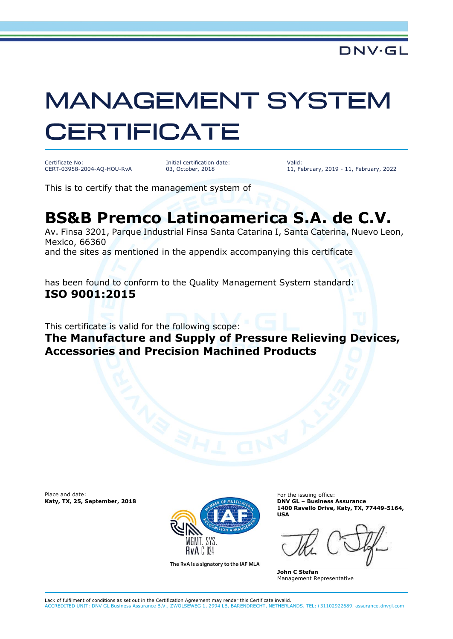## **MANAGEMENT SYSTEM CERTIFICATE**

Certificate No: CERT-03958-2004-AQ-HOU-RvA

Initial certification date: 03, October, 2018

Valid: 11, February, 2019 - 11, February, 2022

This is to certify that the management system of

## **BS&B Premco Latinoamerica S.A. de C.V.**

Av. Finsa 3201, Parque Industrial Finsa Santa Catarina I, Santa Caterina, Nuevo Leon, Mexico, 66360

and the sites as mentioned in the appendix accompanying this certificate

has been found to conform to the Quality Management System standard: **ISO 9001:2015**

This certificate is valid for the following scope:

**The Manufacture and Supply of Pressure Relieving Devices, Accessories and Precision Machined Products**

**Katy, TX, 25, September, 2018** 



The RvA is a signatory to the IAF MLA

**1400 Ravello Drive, Katy, TX, 77449-5164, USA**

**John C Stefan** Management Representative

Lack of fulfilment of conditions as set out in the Certification Agreement may render this Certificate invalid. ACCREDITED UNIT: DNV GL Business Assurance B.V., ZWOLSEWEG 1, 2994 LB, BARENDRECHT, NETHERLANDS. TEL:+31102922689. assurance.dnvgl.com